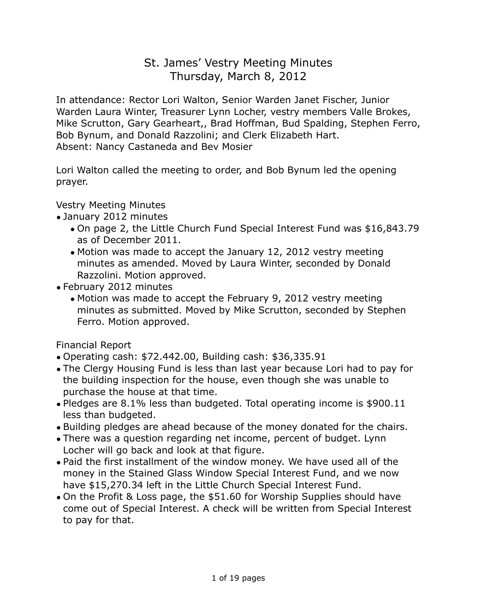# St. James' Vestry Meeting Minutes Thursday, March 8, 2012

In attendance: Rector Lori Walton, Senior Warden Janet Fischer, Junior Warden Laura Winter, Treasurer Lynn Locher, vestry members Valle Brokes, Mike Scrutton, Gary Gearheart,, Brad Hoffman, Bud Spalding, Stephen Ferro, Bob Bynum, and Donald Razzolini; and Clerk Elizabeth Hart. Absent: Nancy Castaneda and Bev Mosier

Lori Walton called the meeting to order, and Bob Bynum led the opening prayer.

Vestry Meeting Minutes

- January 2012 minutes
	- On page 2, the Little Church Fund Special Interest Fund was \$16,843.79 as of December 2011.
	- Motion was made to accept the January 12, 2012 vestry meeting minutes as amended. Moved by Laura Winter, seconded by Donald Razzolini. Motion approved.
- February 2012 minutes
	- Motion was made to accept the February 9, 2012 vestry meeting minutes as submitted. Moved by Mike Scrutton, seconded by Stephen Ferro. Motion approved.

Financial Report

- Operating cash: \$72.442.00, Building cash: \$36,335.91
- The Clergy Housing Fund is less than last year because Lori had to pay for the building inspection for the house, even though she was unable to purchase the house at that time.
- Pledges are 8.1% less than budgeted. Total operating income is \$900.11 less than budgeted.
- Building pledges are ahead because of the money donated for the chairs.
- There was a question regarding net income, percent of budget. Lynn Locher will go back and look at that figure.
- Paid the first installment of the window money. We have used all of the money in the Stained Glass Window Special Interest Fund, and we now have \$15,270.34 left in the Little Church Special Interest Fund.
- On the Profit & Loss page, the \$51.60 for Worship Supplies should have come out of Special Interest. A check will be written from Special Interest to pay for that.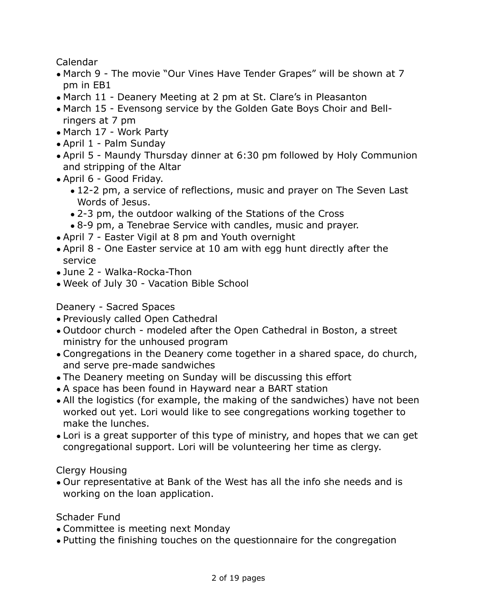Calendar

- March 9 The movie "Our Vines Have Tender Grapes" will be shown at 7 pm in EB1
- March 11 Deanery Meeting at 2 pm at St. Clare's in Pleasanton
- March 15 Evensong service by the Golden Gate Boys Choir and Bellringers at 7 pm
- March 17 Work Party
- April 1 Palm Sunday
- April 5 Maundy Thursday dinner at 6:30 pm followed by Holy Communion and stripping of the Altar
- April 6 Good Friday.
	- 12-2 pm, a service of reflections, music and prayer on The Seven Last Words of Jesus.
	- 2-3 pm, the outdoor walking of the Stations of the Cross
	- 8-9 pm, a Tenebrae Service with candles, music and prayer.
- April 7 Easter Vigil at 8 pm and Youth overnight
- April 8 One Easter service at 10 am with egg hunt directly after the service
- June 2 Walka-Rocka-Thon
- Week of July 30 Vacation Bible School

# Deanery - Sacred Spaces

- Previously called Open Cathedral
- Outdoor church modeled after the Open Cathedral in Boston, a street ministry for the unhoused program
- Congregations in the Deanery come together in a shared space, do church, and serve pre-made sandwiches
- The Deanery meeting on Sunday will be discussing this effort
- A space has been found in Hayward near a BART station
- All the logistics (for example, the making of the sandwiches) have not been worked out yet. Lori would like to see congregations working together to make the lunches.
- Lori is a great supporter of this type of ministry, and hopes that we can get congregational support. Lori will be volunteering her time as clergy.

# Clergy Housing

• Our representative at Bank of the West has all the info she needs and is working on the loan application.

Schader Fund

- Committee is meeting next Monday
- Putting the finishing touches on the questionnaire for the congregation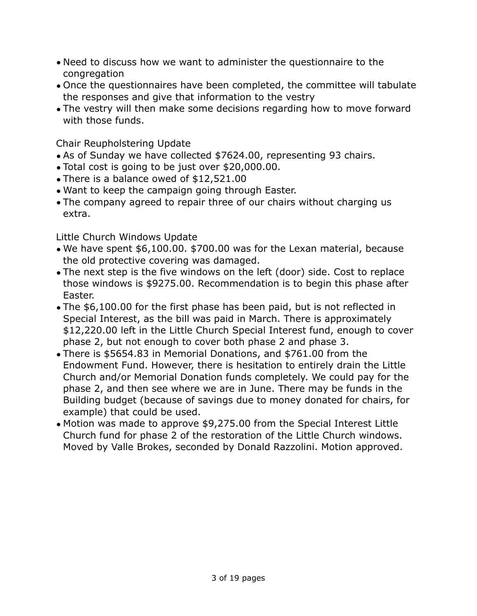- Need to discuss how we want to administer the questionnaire to the congregation
- Once the questionnaires have been completed, the committee will tabulate the responses and give that information to the vestry
- The vestry will then make some decisions regarding how to move forward with those funds.

Chair Reupholstering Update

- As of Sunday we have collected \$7624.00, representing 93 chairs.
- Total cost is going to be just over \$20,000.00.
- There is a balance owed of \$12,521.00
- Want to keep the campaign going through Easter.
- The company agreed to repair three of our chairs without charging us extra.

Little Church Windows Update

- We have spent \$6,100.00. \$700.00 was for the Lexan material, because the old protective covering was damaged.
- The next step is the five windows on the left (door) side. Cost to replace those windows is \$9275.00. Recommendation is to begin this phase after Easter.
- The \$6,100.00 for the first phase has been paid, but is not reflected in Special Interest, as the bill was paid in March. There is approximately \$12,220.00 left in the Little Church Special Interest fund, enough to cover phase 2, but not enough to cover both phase 2 and phase 3.
- There is \$5654.83 in Memorial Donations, and \$761.00 from the Endowment Fund. However, there is hesitation to entirely drain the Little Church and/or Memorial Donation funds completely. We could pay for the phase 2, and then see where we are in June. There may be funds in the Building budget (because of savings due to money donated for chairs, for example) that could be used.
- Motion was made to approve \$9,275.00 from the Special Interest Little Church fund for phase 2 of the restoration of the Little Church windows. Moved by Valle Brokes, seconded by Donald Razzolini. Motion approved.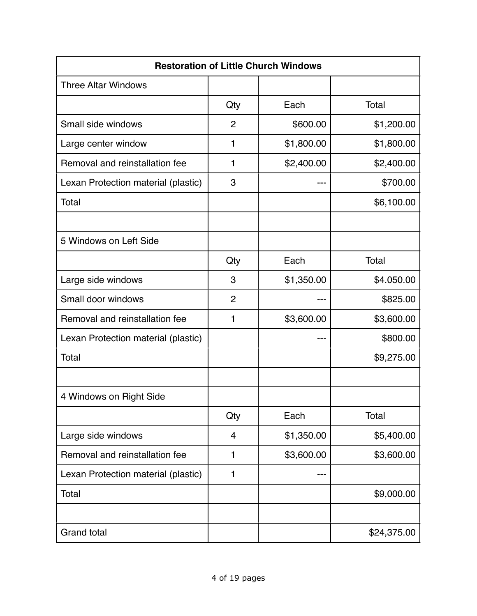|                                     |                | <b>Restoration of Little Church Windows</b> |             |
|-------------------------------------|----------------|---------------------------------------------|-------------|
| <b>Three Altar Windows</b>          |                |                                             |             |
|                                     | Qty            | Each                                        | Total       |
| Small side windows                  | $\overline{2}$ | \$600.00                                    | \$1,200.00  |
| Large center window                 | 1              | \$1,800.00                                  | \$1,800.00  |
| Removal and reinstallation fee      | 1              | \$2,400.00                                  | \$2,400.00  |
| Lexan Protection material (plastic) | 3              |                                             | \$700.00    |
| Total                               |                |                                             | \$6,100.00  |
|                                     |                |                                             |             |
| 5 Windows on Left Side              |                |                                             |             |
|                                     | Qty            | Each                                        | Total       |
| Large side windows                  | 3              | \$1,350.00                                  | \$4.050.00  |
| Small door windows                  | $\overline{2}$ |                                             | \$825.00    |
| Removal and reinstallation fee      | 1              | \$3,600.00                                  | \$3,600.00  |
| Lexan Protection material (plastic) |                |                                             | \$800.00    |
| Total                               |                |                                             | \$9,275.00  |
|                                     |                |                                             |             |
| 4 Windows on Right Side             |                |                                             |             |
|                                     | Qty            | Each                                        | Total       |
| Large side windows                  | 4              | \$1,350.00                                  | \$5,400.00  |
| Removal and reinstallation fee      | 1              | \$3,600.00                                  | \$3,600.00  |
| Lexan Protection material (plastic) | 1              | ---                                         |             |
| Total                               |                |                                             | \$9,000.00  |
|                                     |                |                                             |             |
| <b>Grand total</b>                  |                |                                             | \$24,375.00 |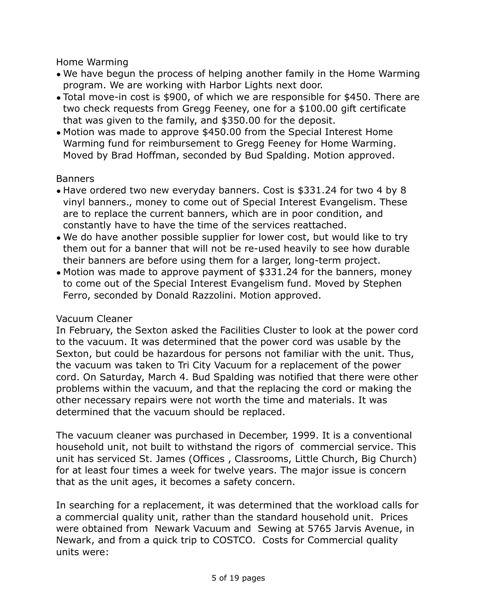Home Warming

- We have begun the process of helping another family in the Home Warming program. We are working with Harbor Lights next door.
- Total move-in cost is \$900, of which we are responsible for \$450. There are two check requests from Gregg Feeney, one for a \$100.00 gift certificate that was given to the family, and \$350.00 for the deposit.
- Motion was made to approve \$450.00 from the Special Interest Home Warming fund for reimbursement to Gregg Feeney for Home Warming. Moved by Brad Hoffman, seconded by Bud Spalding. Motion approved.

### Banners

- Have ordered two new everyday banners. Cost is \$331.24 for two 4 by 8 vinyl banners., money to come out of Special Interest Evangelism. These are to replace the current banners, which are in poor condition, and constantly have to have the time of the services reattached.
- We do have another possible supplier for lower cost, but would like to try them out for a banner that will not be re-used heavily to see how durable their banners are before using them for a larger, long-term project.
- Motion was made to approve payment of \$331.24 for the banners, money to come out of the Special Interest Evangelism fund. Moved by Stephen Ferro, seconded by Donald Razzolini. Motion approved.

## Vacuum Cleaner

In February, the Sexton asked the Facilities Cluster to look at the power cord to the vacuum. It was determined that the power cord was usable by the Sexton, but could be hazardous for persons not familiar with the unit. Thus, the vacuum was taken to Tri City Vacuum for a replacement of the power cord. On Saturday, March 4. Bud Spalding was notified that there were other problems within the vacuum, and that the replacing the cord or making the other necessary repairs were not worth the time and materials. It was determined that the vacuum should be replaced.

The vacuum cleaner was purchased in December, 1999. It is a conventional household unit, not built to withstand the rigors of commercial service. This unit has serviced St. James (Offices , Classrooms, Little Church, Big Church) for at least four times a week for twelve years. The major issue is concern that as the unit ages, it becomes a safety concern.

In searching for a replacement, it was determined that the workload calls for a commercial quality unit, rather than the standard household unit. Prices were obtained from Newark Vacuum and Sewing at 5765 Jarvis Avenue, in Newark, and from a quick trip to COSTCO. Costs for Commercial quality units were: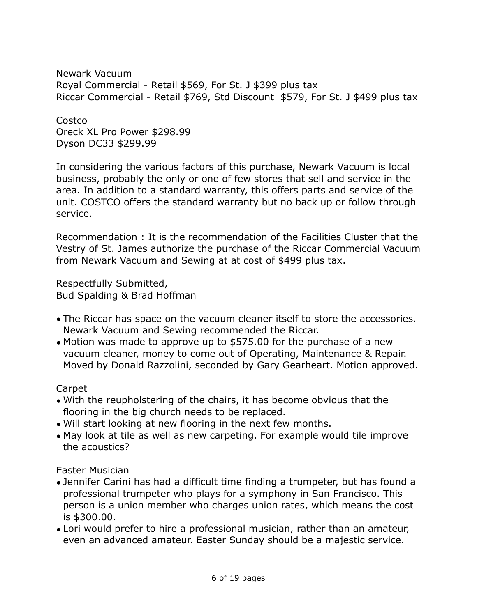Newark Vacuum Royal Commercial - Retail \$569, For St. J \$399 plus tax Riccar Commercial - Retail \$769, Std Discount \$579, For St. J \$499 plus tax

**Costco** Oreck XL Pro Power \$298.99 Dyson DC33 \$299.99

In considering the various factors of this purchase, Newark Vacuum is local business, probably the only or one of few stores that sell and service in the area. In addition to a standard warranty, this offers parts and service of the unit. COSTCO offers the standard warranty but no back up or follow through service.

Recommendation : It is the recommendation of the Facilities Cluster that the Vestry of St. James authorize the purchase of the Riccar Commercial Vacuum from Newark Vacuum and Sewing at at cost of \$499 plus tax.

Respectfully Submitted, Bud Spalding & Brad Hoffman

- The Riccar has space on the vacuum cleaner itself to store the accessories. Newark Vacuum and Sewing recommended the Riccar.
- Motion was made to approve up to \$575.00 for the purchase of a new vacuum cleaner, money to come out of Operating, Maintenance & Repair. Moved by Donald Razzolini, seconded by Gary Gearheart. Motion approved.

#### Carpet

- With the reupholstering of the chairs, it has become obvious that the flooring in the big church needs to be replaced.
- Will start looking at new flooring in the next few months.
- May look at tile as well as new carpeting. For example would tile improve the acoustics?

#### Easter Musician

- Jennifer Carini has had a difficult time finding a trumpeter, but has found a professional trumpeter who plays for a symphony in San Francisco. This person is a union member who charges union rates, which means the cost is \$300.00.
- Lori would prefer to hire a professional musician, rather than an amateur, even an advanced amateur. Easter Sunday should be a majestic service.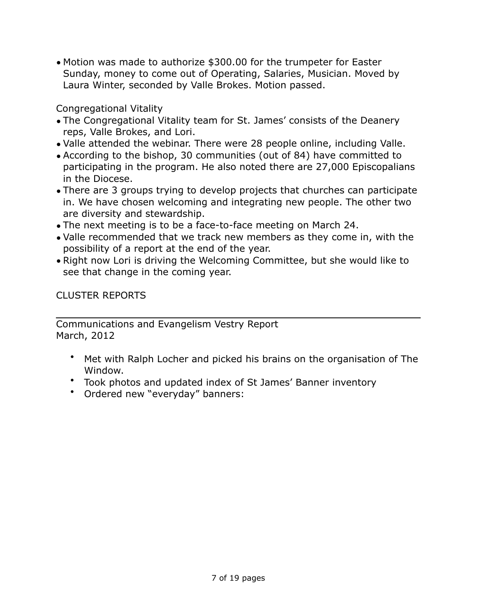• Motion was made to authorize \$300.00 for the trumpeter for Easter Sunday, money to come out of Operating, Salaries, Musician. Moved by Laura Winter, seconded by Valle Brokes. Motion passed.

Congregational Vitality

- The Congregational Vitality team for St. James' consists of the Deanery reps, Valle Brokes, and Lori.
- Valle attended the webinar. There were 28 people online, including Valle.
- According to the bishop, 30 communities (out of 84) have committed to participating in the program. He also noted there are 27,000 Episcopalians in the Diocese.
- There are 3 groups trying to develop projects that churches can participate in. We have chosen welcoming and integrating new people. The other two are diversity and stewardship.
- The next meeting is to be a face-to-face meeting on March 24.
- Valle recommended that we track new members as they come in, with the possibility of a report at the end of the year.
- Right now Lori is driving the Welcoming Committee, but she would like to see that change in the coming year.

CLUSTER REPORTS

Communications and Evangelism Vestry Report March, 2012

- Met with Ralph Locher and picked his brains on the organisation of The Window.
- Took photos and updated index of St James' Banner inventory
- Ordered new "everyday" banners: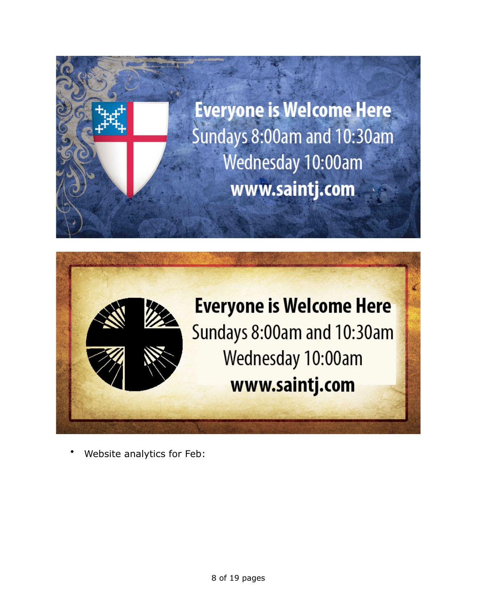



• Website analytics for Feb: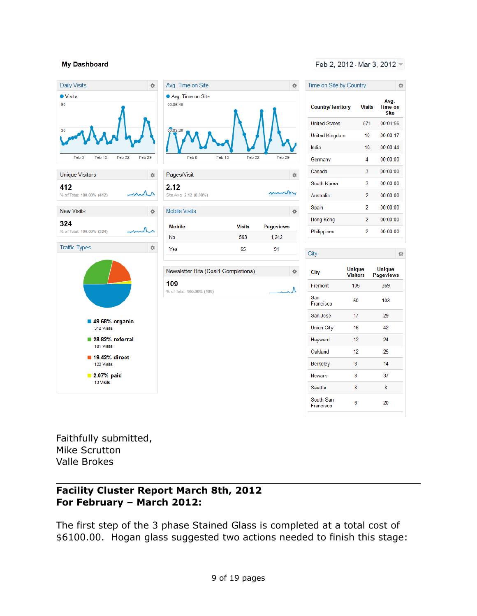#### **My Dashboard**





#### Feb 2, 2012 - Mar 3, 2012 -

| Time on Site by Country  |                                  |                                | 许 |
|--------------------------|----------------------------------|--------------------------------|---|
| <b>Country/Territory</b> | <b>Visits</b>                    | Avg.<br><b>Time on</b><br>Site |   |
| <b>United States</b>     | 571                              | 00:01:56                       |   |
| <b>United Kingdom</b>    | 10                               | 00:00:17                       |   |
| India                    | 10                               | 00:00:44                       |   |
| Germany                  | 4                                | 00:00:00                       |   |
| Canada                   | 3                                | 00:00:00                       |   |
| South Korea              | 3                                | 00:00:00                       |   |
| Australia                | 2                                | 00:00:00                       |   |
| Spain                    | 2                                | 00:00:00                       |   |
| Hong Kong                | 2                                | 00:00:00                       |   |
| Philippines              | 2                                | 00:00:00                       |   |
|                          |                                  |                                |   |
| City                     |                                  |                                | 办 |
| City                     | <b>Unique</b><br><b>Visitors</b> | Unique<br><b>Pageviews</b>     |   |
| Fremont                  | 105                              | 369                            |   |
| San<br>Francisco         | 50                               | 103                            |   |
| San Jose                 | 17                               | 29                             |   |
| <b>Union City</b>        | 16                               | 42                             |   |
| Hayward                  | 12                               | 24                             |   |
| Oakland                  | 12                               | 25                             |   |
| Berkeley                 | 8                                | 14                             |   |
| Newark                   | 8                                | 37                             |   |
| Seattle                  | 8                                | 8                              |   |

South San

Francisco

6

20

Faithfully submitted, Mike Scrutton Valle Brokes

### **Facility Cluster Report March 8th, 2012 For February – March 2012:**

The first step of the 3 phase Stained Glass is completed at a total cost of \$6100.00. Hogan glass suggested two actions needed to finish this stage: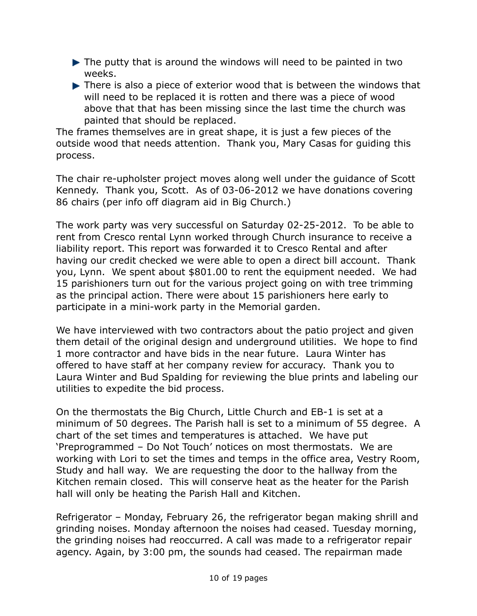- ▶ The putty that is around the windows will need to be painted in two weeks.
- There is also a piece of exterior wood that is between the windows that will need to be replaced it is rotten and there was a piece of wood above that that has been missing since the last time the church was painted that should be replaced.

The frames themselves are in great shape, it is just a few pieces of the outside wood that needs attention. Thank you, Mary Casas for guiding this process.

The chair re-upholster project moves along well under the guidance of Scott Kennedy. Thank you, Scott. As of 03-06-2012 we have donations covering 86 chairs (per info off diagram aid in Big Church.)

The work party was very successful on Saturday 02-25-2012. To be able to rent from Cresco rental Lynn worked through Church insurance to receive a liability report. This report was forwarded it to Cresco Rental and after having our credit checked we were able to open a direct bill account. Thank you, Lynn. We spent about \$801.00 to rent the equipment needed. We had 15 parishioners turn out for the various project going on with tree trimming as the principal action. There were about 15 parishioners here early to participate in a mini-work party in the Memorial garden.

We have interviewed with two contractors about the patio project and given them detail of the original design and underground utilities. We hope to find 1 more contractor and have bids in the near future. Laura Winter has offered to have staff at her company review for accuracy. Thank you to Laura Winter and Bud Spalding for reviewing the blue prints and labeling our utilities to expedite the bid process.

On the thermostats the Big Church, Little Church and EB-1 is set at a minimum of 50 degrees. The Parish hall is set to a minimum of 55 degree. A chart of the set times and temperatures is attached. We have put 'Preprogrammed – Do Not Touch' notices on most thermostats. We are working with Lori to set the times and temps in the office area, Vestry Room, Study and hall way. We are requesting the door to the hallway from the Kitchen remain closed. This will conserve heat as the heater for the Parish hall will only be heating the Parish Hall and Kitchen.

Refrigerator – Monday, February 26, the refrigerator began making shrill and grinding noises. Monday afternoon the noises had ceased. Tuesday morning, the grinding noises had reoccurred. A call was made to a refrigerator repair agency. Again, by 3:00 pm, the sounds had ceased. The repairman made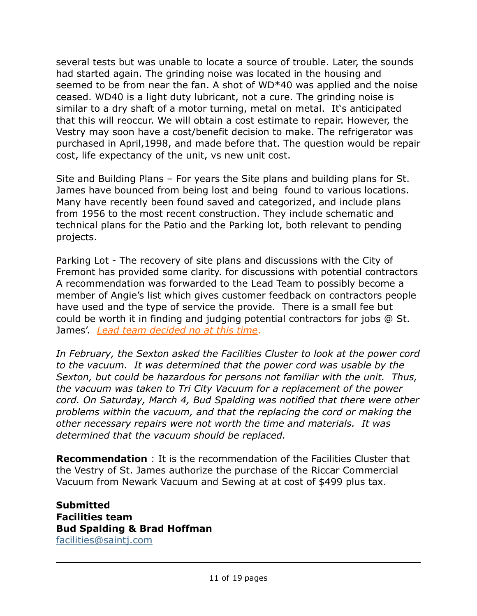several tests but was unable to locate a source of trouble. Later, the sounds had started again. The grinding noise was located in the housing and seemed to be from near the fan. A shot of WD\*40 was applied and the noise ceased. WD40 is a light duty lubricant, not a cure. The grinding noise is similar to a dry shaft of a motor turning, metal on metal. It's anticipated that this will reoccur. We will obtain a cost estimate to repair. However, the Vestry may soon have a cost/benefit decision to make. The refrigerator was purchased in April,1998, and made before that. The question would be repair cost, life expectancy of the unit, vs new unit cost.

Site and Building Plans – For years the Site plans and building plans for St. James have bounced from being lost and being found to various locations. Many have recently been found saved and categorized, and include plans from 1956 to the most recent construction. They include schematic and technical plans for the Patio and the Parking lot, both relevant to pending projects.

Parking Lot - The recovery of site plans and discussions with the City of Fremont has provided some clarity. for discussions with potential contractors A recommendation was forwarded to the Lead Team to possibly become a member of Angie's list which gives customer feedback on contractors people have used and the type of service the provide. There is a small fee but could be worth it in finding and judging potential contractors for jobs @ St. James'. *Lead team decided no at this time*.

*In February, the Sexton asked the Facilities Cluster to look at the power cord to the vacuum. It was determined that the power cord was usable by the Sexton, but could be hazardous for persons not familiar with the unit. Thus, the vacuum was taken to Tri City Vacuum for a replacement of the power cord. On Saturday, March 4, Bud Spalding was notified that there were other problems within the vacuum, and that the replacing the cord or making the other necessary repairs were not worth the time and materials. It was determined that the vacuum should be replaced.*

**Recommendation** : It is the recommendation of the Facilities Cluster that the Vestry of St. James authorize the purchase of the Riccar Commercial Vacuum from Newark Vacuum and Sewing at at cost of \$499 plus tax.

**Submitted Facilities team Bud Spalding & Brad Hoffman** [facilities@saintj.com](mailto:facilities@saintj.com)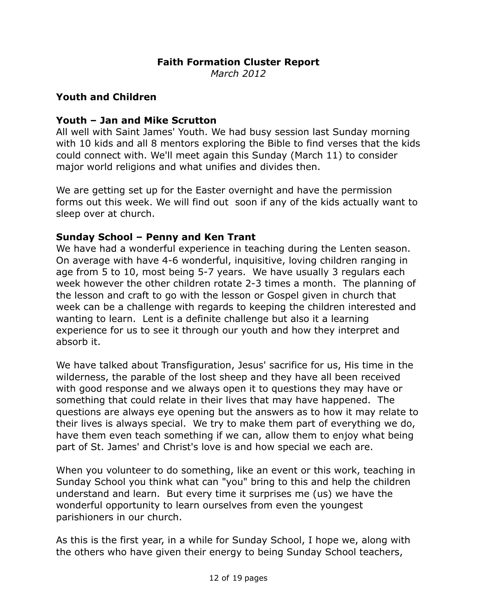# **Faith Formation Cluster Report**

*March 2012*

#### **Youth and Children**

### **Youth – Jan and Mike Scrutton**

All well with Saint James' Youth. We had busy session last Sunday morning with 10 kids and all 8 mentors exploring the Bible to find verses that the kids could connect with. We'll meet again this Sunday (March 11) to consider major world religions and what unifies and divides then.

We are getting set up for the Easter overnight and have the permission forms out this week. We will find out soon if any of the kids actually want to sleep over at church.

### **Sunday School – Penny and Ken Trant**

We have had a wonderful experience in teaching during the Lenten season. On average with have 4-6 wonderful, inquisitive, loving children ranging in age from 5 to 10, most being 5-7 years. We have usually 3 regulars each week however the other children rotate 2-3 times a month. The planning of the lesson and craft to go with the lesson or Gospel given in church that week can be a challenge with regards to keeping the children interested and wanting to learn. Lent is a definite challenge but also it a learning experience for us to see it through our youth and how they interpret and absorb it.

We have talked about Transfiguration, Jesus' sacrifice for us, His time in the wilderness, the parable of the lost sheep and they have all been received with good response and we always open it to questions they may have or something that could relate in their lives that may have happened. The questions are always eye opening but the answers as to how it may relate to their lives is always special. We try to make them part of everything we do, have them even teach something if we can, allow them to enjoy what being part of St. James' and Christ's love is and how special we each are.

When you volunteer to do something, like an event or this work, teaching in Sunday School you think what can "you" bring to this and help the children understand and learn. But every time it surprises me (us) we have the wonderful opportunity to learn ourselves from even the youngest parishioners in our church.

As this is the first year, in a while for Sunday School, I hope we, along with the others who have given their energy to being Sunday School teachers,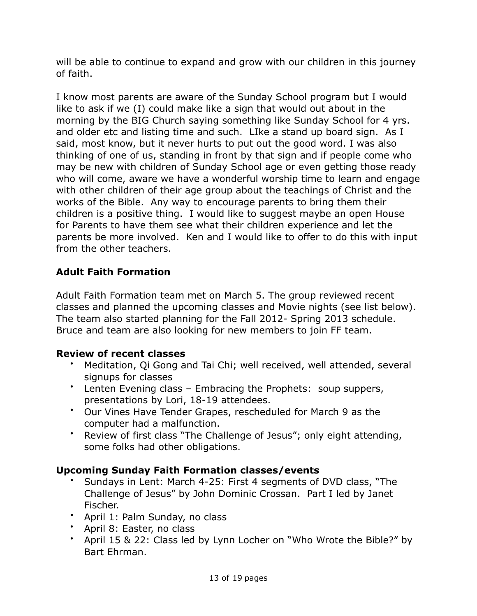will be able to continue to expand and grow with our children in this journey of faith.

I know most parents are aware of the Sunday School program but I would like to ask if we (I) could make like a sign that would out about in the morning by the BIG Church saying something like Sunday School for 4 yrs. and older etc and listing time and such. LIke a stand up board sign. As I said, most know, but it never hurts to put out the good word. I was also thinking of one of us, standing in front by that sign and if people come who may be new with children of Sunday School age or even getting those ready who will come, aware we have a wonderful worship time to learn and engage with other children of their age group about the teachings of Christ and the works of the Bible. Any way to encourage parents to bring them their children is a positive thing. I would like to suggest maybe an open House for Parents to have them see what their children experience and let the parents be more involved. Ken and I would like to offer to do this with input from the other teachers.

# **Adult Faith Formation**

Adult Faith Formation team met on March 5. The group reviewed recent classes and planned the upcoming classes and Movie nights (see list below). The team also started planning for the Fall 2012- Spring 2013 schedule. Bruce and team are also looking for new members to join FF team.

## **Review of recent classes**

- Meditation, Qi Gong and Tai Chi; well received, well attended, several signups for classes
- Lenten Evening class Embracing the Prophets: soup suppers, presentations by Lori, 18-19 attendees.
- Our Vines Have Tender Grapes, rescheduled for March 9 as the computer had a malfunction.
- Review of first class "The Challenge of Jesus"; only eight attending, some folks had other obligations.

## **Upcoming Sunday Faith Formation classes/events**

- Sundays in Lent: March 4-25: First 4 segments of DVD class, "The Challenge of Jesus" by John Dominic Crossan. Part I led by Janet Fischer.
- April 1: Palm Sunday, no class
- April 8: Easter, no class
- April 15 & 22: Class led by Lynn Locher on "Who Wrote the Bible?" by Bart Ehrman.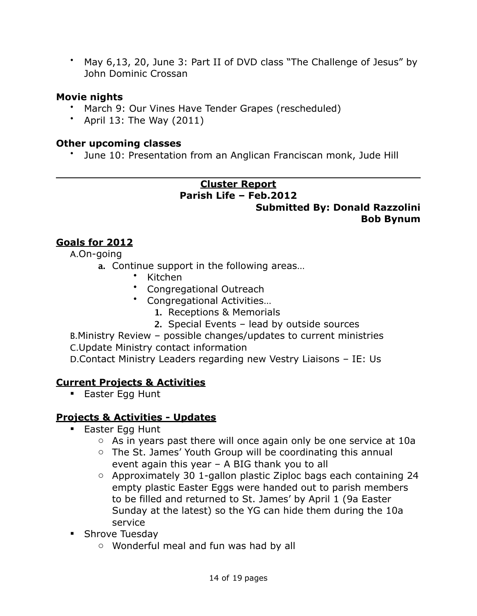• May 6,13, 20, June 3: Part II of DVD class "The Challenge of Jesus" by John Dominic Crossan

# **Movie nights**

- March 9: Our Vines Have Tender Grapes (rescheduled)
- April 13: The Way  $(2011)$

#### **Other upcoming classes**

• June 10: Presentation from an Anglican Franciscan monk, Jude Hill

## **Cluster Report Parish Life – Feb.2012 Submitted By: Donald Razzolini Bob Bynum**

# **Goals for 2012**

A.On-going

- **a.** Continue support in the following areas…
	- Kitchen
	- Congregational Outreach
	- Congregational Activities…
		- **1.** Receptions & Memorials
		- **2.** Special Events lead by outside sources

B.Ministry Review – possible changes/updates to current ministries C.Update Ministry contact information

D.Contact Ministry Leaders regarding new Vestry Liaisons – IE: Us

# **Current Projects & Activities**

**Easter Egg Hunt** 

# **Projects & Activities - Updates**

- **Easter Egg Hunt** 
	- $\circ$  As in years past there will once again only be one service at 10a
	- o The St. James' Youth Group will be coordinating this annual event again this year – A BIG thank you to all
	- o Approximately 30 1-gallon plastic Ziploc bags each containing 24 empty plastic Easter Eggs were handed out to parish members to be filled and returned to St. James' by April 1 (9a Easter Sunday at the latest) so the YG can hide them during the 10a service
- **Shrove Tuesday** 
	- o Wonderful meal and fun was had by all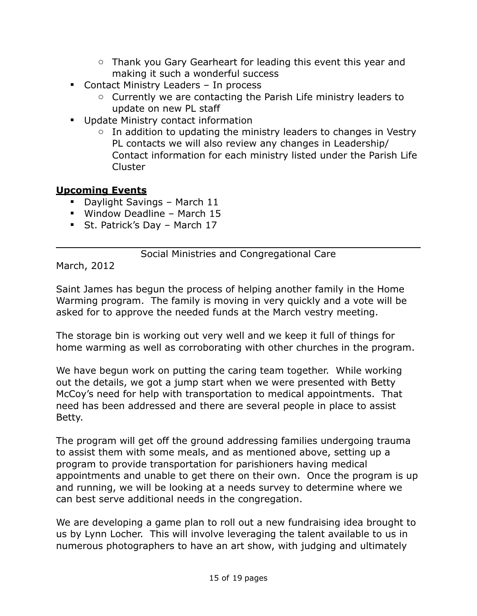- $\circ$  Thank you Gary Gearheart for leading this event this year and making it such a wonderful success
- Contact Ministry Leaders In process
	- o Currently we are contacting the Parish Life ministry leaders to update on new PL staff
- **Update Ministry contact information** 
	- $\circ$  In addition to updating the ministry leaders to changes in Vestry PL contacts we will also review any changes in Leadership/ Contact information for each ministry listed under the Parish Life Cluster

# **Upcoming Events**

- Daylight Savings March 11
- Window Deadline March 15
- **St. Patrick's Day March 17**

## Social Ministries and Congregational Care

March, 2012

Saint James has begun the process of helping another family in the Home Warming program. The family is moving in very quickly and a vote will be asked for to approve the needed funds at the March vestry meeting.

The storage bin is working out very well and we keep it full of things for home warming as well as corroborating with other churches in the program.

We have begun work on putting the caring team together. While working out the details, we got a jump start when we were presented with Betty McCoy's need for help with transportation to medical appointments. That need has been addressed and there are several people in place to assist Betty.

The program will get off the ground addressing families undergoing trauma to assist them with some meals, and as mentioned above, setting up a program to provide transportation for parishioners having medical appointments and unable to get there on their own. Once the program is up and running, we will be looking at a needs survey to determine where we can best serve additional needs in the congregation.

We are developing a game plan to roll out a new fundraising idea brought to us by Lynn Locher. This will involve leveraging the talent available to us in numerous photographers to have an art show, with judging and ultimately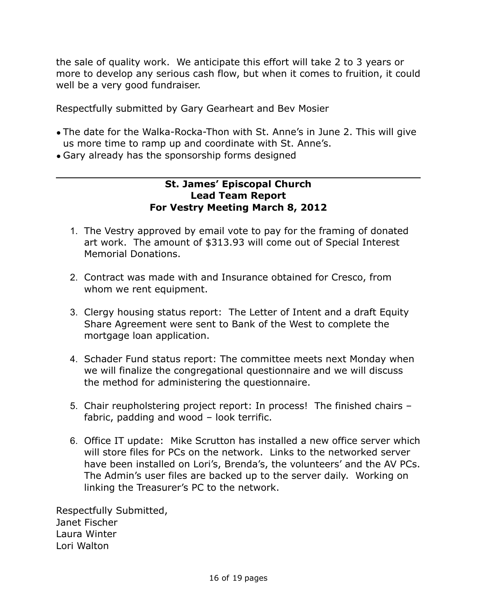the sale of quality work. We anticipate this effort will take 2 to 3 years or more to develop any serious cash flow, but when it comes to fruition, it could well be a very good fundraiser.

Respectfully submitted by Gary Gearheart and Bev Mosier

- The date for the Walka-Rocka-Thon with St. Anne's in June 2. This will give us more time to ramp up and coordinate with St. Anne's.
- Gary already has the sponsorship forms designed

#### **St. James' Episcopal Church Lead Team Report For Vestry Meeting March 8, 2012**

- 1. The Vestry approved by email vote to pay for the framing of donated art work. The amount of \$313.93 will come out of Special Interest Memorial Donations.
- 2. Contract was made with and Insurance obtained for Cresco, from whom we rent equipment.
- 3. Clergy housing status report: The Letter of Intent and a draft Equity Share Agreement were sent to Bank of the West to complete the mortgage loan application.
- 4. Schader Fund status report: The committee meets next Monday when we will finalize the congregational questionnaire and we will discuss the method for administering the questionnaire.
- 5. Chair reupholstering project report: In process! The finished chairs fabric, padding and wood – look terrific.
- 6. Office IT update: Mike Scrutton has installed a new office server which will store files for PCs on the network. Links to the networked server have been installed on Lori's, Brenda's, the volunteers' and the AV PCs. The Admin's user files are backed up to the server daily. Working on linking the Treasurer's PC to the network.

Respectfully Submitted, Janet Fischer Laura Winter Lori Walton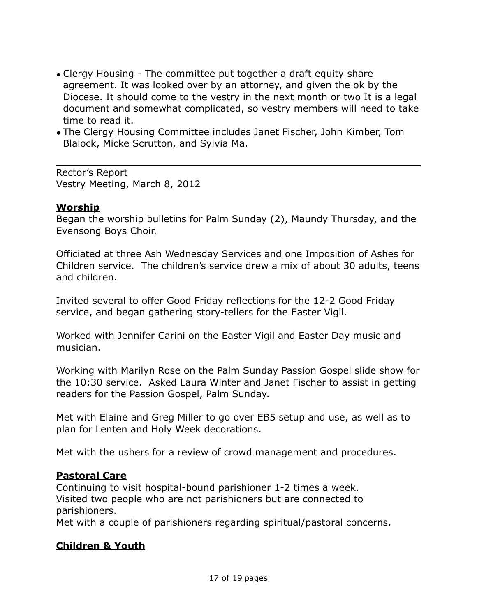- Clergy Housing The committee put together a draft equity share agreement. It was looked over by an attorney, and given the ok by the Diocese. It should come to the vestry in the next month or two It is a legal document and somewhat complicated, so vestry members will need to take time to read it.
- The Clergy Housing Committee includes Janet Fischer, John Kimber, Tom Blalock, Micke Scrutton, and Sylvia Ma.

Rector's Report Vestry Meeting, March 8, 2012

### **Worship**

Began the worship bulletins for Palm Sunday (2), Maundy Thursday, and the Evensong Boys Choir.

Officiated at three Ash Wednesday Services and one Imposition of Ashes for Children service. The children's service drew a mix of about 30 adults, teens and children.

Invited several to offer Good Friday reflections for the 12-2 Good Friday service, and began gathering story-tellers for the Easter Vigil.

Worked with Jennifer Carini on the Easter Vigil and Easter Day music and musician.

Working with Marilyn Rose on the Palm Sunday Passion Gospel slide show for the 10:30 service. Asked Laura Winter and Janet Fischer to assist in getting readers for the Passion Gospel, Palm Sunday.

Met with Elaine and Greg Miller to go over EB5 setup and use, as well as to plan for Lenten and Holy Week decorations.

Met with the ushers for a review of crowd management and procedures.

## **Pastoral Care**

Continuing to visit hospital-bound parishioner 1-2 times a week. Visited two people who are not parishioners but are connected to parishioners.

Met with a couple of parishioners regarding spiritual/pastoral concerns.

## **Children & Youth**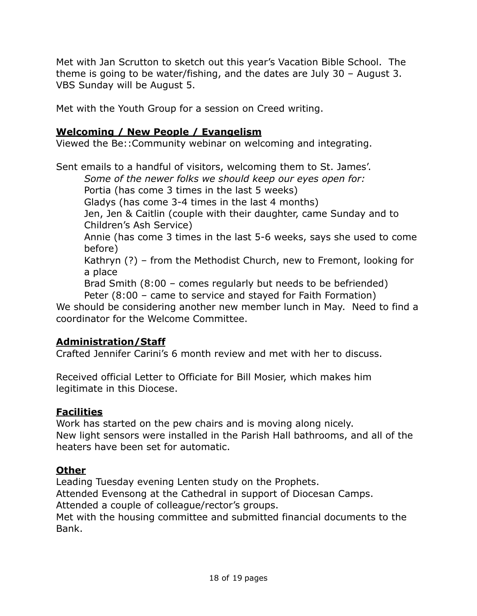Met with Jan Scrutton to sketch out this year's Vacation Bible School. The theme is going to be water/fishing, and the dates are July 30 – August 3. VBS Sunday will be August 5.

Met with the Youth Group for a session on Creed writing.

# **Welcoming / New People / Evangelism**

Viewed the Be::Community webinar on welcoming and integrating.

Sent emails to a handful of visitors, welcoming them to St. James'.

*Some of the newer folks we should keep our eyes open for:*

Portia (has come 3 times in the last 5 weeks)

Gladys (has come 3-4 times in the last 4 months)

Jen, Jen & Caitlin (couple with their daughter, came Sunday and to Children's Ash Service)

Annie (has come 3 times in the last 5-6 weeks, says she used to come before)

Kathryn (?) – from the Methodist Church, new to Fremont, looking for a place

Brad Smith (8:00 – comes regularly but needs to be befriended) Peter (8:00 – came to service and stayed for Faith Formation)

We should be considering another new member lunch in May. Need to find a coordinator for the Welcome Committee.

# **Administration/Staff**

Crafted Jennifer Carini's 6 month review and met with her to discuss.

Received official Letter to Officiate for Bill Mosier, which makes him legitimate in this Diocese.

## **Facilities**

Work has started on the pew chairs and is moving along nicely. New light sensors were installed in the Parish Hall bathrooms, and all of the heaters have been set for automatic.

## **Other**

Leading Tuesday evening Lenten study on the Prophets. Attended Evensong at the Cathedral in support of Diocesan Camps. Attended a couple of colleague/rector's groups.

Met with the housing committee and submitted financial documents to the Bank.